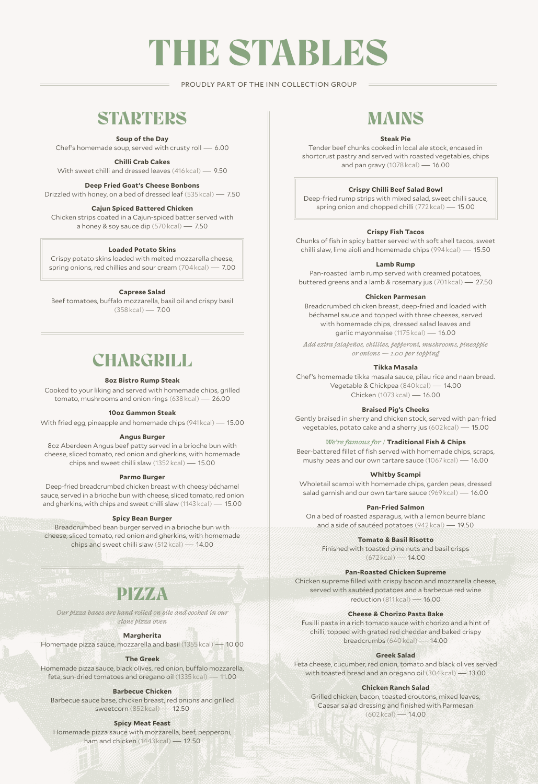# THE STABLES

PROUDLY PART OF THE INN COLLECTION GROUP

### **STARTERS**

#### **Soup of the Day**

Chef's homemade soup, served with crusty roll — 6.00

**Chilli Crab Cakes**

With sweet chilli and dressed leaves (416 kcal) — 9.50

#### **Deep Fried Goat's Cheese Bonbons**

Drizzled with honey, on a bed of dressed leaf (535 kcal) — 7.50

#### **Cajun Spiced Battered Chicken**

Chicken strips coated in a Cajun-spiced batter served with a honey & soy sauce dip (570 kcal) — 7.50

#### **Loaded Potato Skins**

Crispy potato skins loaded with melted mozzarella cheese, spring onions, red chillies and sour cream (704 kcal) — 7.00

#### **Caprese Salad**

Beef tomatoes, buffalo mozzarella, basil oil and crispy basil (358 kcal) — 7.00

### **CHARGRILL**

#### **8oz Bistro Rump Steak**

Cooked to your liking and served with homemade chips, grilled tomato, mushrooms and onion rings (638 kcal) — 26.00

#### **10oz Gammon Steak**

With fried egg, pineapple and homemade chips (941 kcal) — 15.00

#### **Angus Burger**

8oz Aberdeen Angus beef patty served in a brioche bun with cheese, sliced tomato, red onion and gherkins, with homemade chips and sweet chilli slaw (1352 kcal) — 15.00

#### **Parmo Burger**

Deep-fried breadcrumbed chicken breast with cheesy béchamel sauce, served in a brioche bun with cheese, sliced tomato, red onion and gherkins, with chips and sweet chilli slaw (1143 kcal) — 15.00

#### **Spicy Bean Burger**

Breadcrumbed bean burger served in a brioche bun with cheese, sliced tomato, red onion and gherkins, with homemade chips and sweet chilli slaw (512 kcal) — 14.00

### PIZZA

*Our pizza bases are hand rolled on site and cooked in our stone pizza oven*

#### **Margherita**

Homemade pizza sauce, mozzarella and basil (1355 kcal) — 10.00

#### **The Greek**

Homemade pizza sauce, black olives, red onion, buffalo mozzarella, feta, sun-dried tomatoes and oregano oil (1335 kcal) — 11.00

#### **Barbecue Chicken**

Barbecue sauce base, chicken breast, red onions and grilled sweetcorn (852 kcal) — 12.50

#### **Spicy Meat Feast**

Homemade pizza sauce with mozzarella, beef, pepperoni, ham and chicken (1443 kcal) — 12.50

### MAINS

#### **Steak Pie**

Tender beef chunks cooked in local ale stock, encased in shortcrust pastry and served with roasted vegetables, chips and pan gravy (1078 kcal) — 16.00

#### **Crispy Chilli Beef Salad Bowl**

Deep-fried rump strips with mixed salad, sweet chilli sauce, spring onion and chopped chilli (772 kcal) — 15.00

#### **Crispy Fish Tacos**

Chunks of fish in spicy batter served with soft shell tacos, sweet chilli slaw, lime aioli and homemade chips (994 kcal) — 15.50

#### **Lamb Rump**

Pan-roasted lamb rump served with creamed potatoes, buttered greens and a lamb & rosemary jus (701 kcal) — 27.50

#### **Chicken Parmesan**

Breadcrumbed chicken breast, deep-fried and loaded with béchamel sauce and topped with three cheeses, served with homemade chips, dressed salad leaves and garlic mayonnaise (1175 kcal) — 16.00

*Add extra jalapeños, chillies, pepperoni, mushrooms, pineapple or onions — 1.00 per topping*

#### **Tikka Masala**

Chef's homemade tikka masala sauce, pilau rice and naan bread. Vegetable & Chickpea (840 kcal) — 14.00 Chicken (1073 kcal) — 16.00

**Braised Pig's Cheeks**

Gently braised in sherry and chicken stock, served with pan-fried vegetables, potato cake and a sherry jus (602 kcal) — 15.00

#### *We're famous for /* **Traditional Fish & Chips**

Beer-battered fillet of fish served with homemade chips, scraps, mushy peas and our own tartare sauce (1067 kcal) — 16.00

**Whitby Scampi**

Wholetail scampi with homemade chips, garden peas, dressed salad garnish and our own tartare sauce (969 kcal) — 16.00

**Pan-Fried Salmon**

On a bed of roasted asparagus, with a lemon beurre blanc and a side of sautéed potatoes (942 kcal) — 19.50

**Tomato & Basil Risotto**

Finished with toasted pine nuts and basil crisps  $(672 \text{ kcal}) - 14.00$ 

#### **Pan-Roasted Chicken Supreme**

Chicken supreme filled with crispy bacon and mozzarella cheese, served with sautéed potatoes and a barbecue red wine reduction (811 kcal) — 16.00

#### **Cheese & Chorizo Pasta Bake**

Fusilli pasta in a rich tomato sauce with chorizo and a hint of chilli, topped with grated red cheddar and baked crispy breadcrumbs (640 kcal) — 14.00

#### **Greek Salad**

Feta cheese, cucumber, red onion, tomato and black olives served with toasted bread and an oregano oil (304 kcal) — 13.00

#### **Chicken Ranch Salad**

Grilled chicken, bacon, toasted croutons, mixed leaves, Caesar salad dressing and finished with Parmesan  $(602 \text{ kcal}) - 14.00$